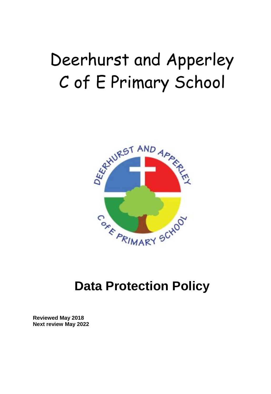# Deerhurst and Apperley C of E Primary School



## **Data Protection Policy**

**Reviewed May 2018 Next review May 2022**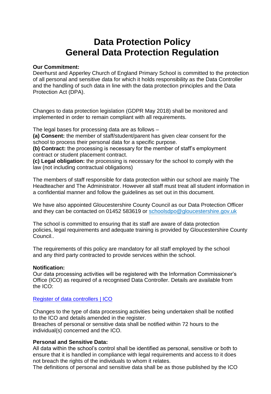### **Data Protection Policy General Data Protection Regulation**

#### **Our Commitment:**

Deerhurst and Apperley Church of England Primary School is committed to the protection of all personal and sensitive data for which it holds responsibility as the Data Controller and the handling of such data in line with the data protection principles and the Data Protection Act (DPA).

Changes to data protection legislation (GDPR May 2018) shall be monitored and implemented in order to remain compliant with all requirements.

The legal bases for processing data are as follows –

**(a) Consent:** the member of staff/student/parent has given clear consent for the school to process their personal data for a specific purpose.

**(b) Contract:** the processing is necessary for the member of staff's employment contract or student placement contract.

**(c) Legal obligation:** the processing is necessary for the school to comply with the law (not including contractual obligations)

The members of staff responsible for data protection within our school are mainly The Headteacher and The Administrator. However all staff must treat all student information in a confidential manner and follow the guidelines as set out in this document.

We have also appointed Gloucestershire County Council as our Data Protection Officer and they can be contacted on 01452 583619 or schoolsdpo@gloucestershire.gov.uk

The school is committed to ensuring that its staff are aware of data protection policies, legal requirements and adequate training is provided by Gloucestershire County Council..

The requirements of this policy are mandatory for all staff employed by the school and any third party contracted to provide services within the school.

#### **Notification:**

Our data processing activities will be registered with the Information Commissioner's Office (ICO) as required of a recognised Data Controller. Details are available from the ICO:

[Register of data controllers | ICO](https://ico.org.uk/about-the-ico/what-we-do/register-of-data-controllers/)

Changes to the type of data processing activities being undertaken shall be notified to the ICO and details amended in the register.

Breaches of personal or sensitive data shall be notified within 72 hours to the individual(s) concerned and the ICO.

#### **Personal and Sensitive Data:**

All data within the school's control shall be identified as personal, sensitive or both to ensure that it is handled in compliance with legal requirements and access to it does not breach the rights of the individuals to whom it relates.

The definitions of personal and sensitive data shall be as those published by the ICO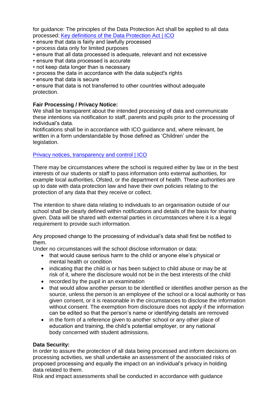for guidance: The principles of the Data Protection Act shall be applied to all data processed: [Key definitions of the Data Protection Act | ICO](https://ico.org.uk/for-organisations/guide-to-data-protection/key-definitions/)

- ensure that data is fairly and lawfully processed
- process data only for limited purposes
- ensure that all data processed is adequate, relevant and not excessive
- ensure that data processed is accurate
- not keep data longer than is necessary
- process the data in accordance with the data subject's rights
- ensure that data is secure

• ensure that data is not transferred to other countries without adequate protection.

#### **Fair Processing / Privacy Notice:**

We shall be transparent about the intended processing of data and communicate these intentions via notification to staff, parents and pupils prior to the processing of individual's data.

Notifications shall be in accordance with ICO guidance and, where relevant, be written in a form understandable by those defined as 'Children' under the legislation.

#### [Privacy notices, transparency and control | ICO](https://ico.org.uk/for-organisations/guide-to-data-protection/privacy-notices-transparency-and-control/)

There may be circumstances where the school is required either by law or in the best interests of our students or staff to pass information onto external authorities, for example local authorities, Ofsted, or the department of health. These authorities are up to date with data protection law and have their own policies relating to the protection of any data that they receive or collect.

The intention to share data relating to individuals to an organisation outside of our school shall be clearly defined within notifications and details of the basis for sharing given. Data will be shared with external parties in circumstances where it is a legal requirement to provide such information.

Any proposed change to the processing of individual's data shall first be notified to them.

Under no circumstances will the school disclose information or data:

- that would cause serious harm to the child or anyone else's physical or mental health or condition
- indicating that the child is or has been subject to child abuse or may be at risk of it, where the disclosure would not be in the best interests of the child
- recorded by the pupil in an examination
- that would allow another person to be identified or identifies another person as the source, unless the person is an employee of the school or a local authority or has given consent, or it is reasonable in the circumstances to disclose the information without consent. The exemption from disclosure does not apply if the information can be edited so that the person's name or identifying details are removed
- in the form of a reference given to another school or any other place of education and training, the child's potential employer, or any national body concerned with student admissions.

#### **Data Security:**

In order to assure the protection of all data being processed and inform decisions on processing activities, we shall undertake an assessment of the associated risks of proposed processing and equally the impact on an individual's privacy in holding data related to them.

Risk and impact assessments shall be conducted in accordance with guidance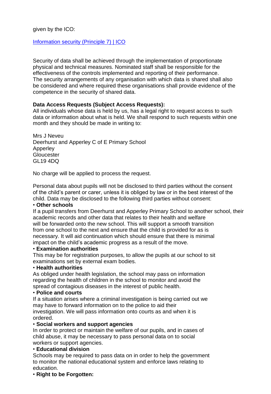#### given by the ICO:

#### [Information security \(Principle 7\) | ICO](https://ico.org.uk/for-organisations/guide-to-data-protection/principle-7-security/)

Security of data shall be achieved through the implementation of proportionate physical and technical measures. Nominated staff shall be responsible for the effectiveness of the controls implemented and reporting of their performance. The security arrangements of any organisation with which data is shared shall also be considered and where required these organisations shall provide evidence of the competence in the security of shared data.

#### **Data Access Requests (Subject Access Requests):**

All individuals whose data is held by us, has a legal right to request access to such data or information about what is held. We shall respond to such requests within one month and they should be made in writing to:

Mrs J Neveu Deerhurst and Apperley C of E Primary School Apperley **Gloucester** GL19 4DQ

No charge will be applied to process the request.

Personal data about pupils will not be disclosed to third parties without the consent of the child's parent or carer, unless it is obliged by law or in the best interest of the child. Data may be disclosed to the following third parties without consent:

#### • **Other schools**

If a pupil transfers from Deerhurst and Apperley Primary School to another school, their academic records and other data that relates to their health and welfare will be forwarded onto the new school. This will support a smooth transition from one school to the next and ensure that the child is provided for as is necessary. It will aid continuation which should ensure that there is minimal impact on the child's academic progress as a result of the move.

#### • **Examination authorities**

This may be for registration purposes, to allow the pupils at our school to sit examinations set by external exam bodies.

#### • **Health authorities**

As obliged under health legislation, the school may pass on information regarding the health of children in the school to monitor and avoid the spread of contagious diseases in the interest of public health.

#### • **Police and courts**

If a situation arises where a criminal investigation is being carried out we may have to forward information on to the police to aid their investigation. We will pass information onto courts as and when it is ordered.

#### • **Social workers and support agencies**

In order to protect or maintain the welfare of our pupils, and in cases of child abuse, it may be necessary to pass personal data on to social workers or support agencies.

#### • **Educational division**

Schools may be required to pass data on in order to help the government to monitor the national educational system and enforce laws relating to education.

#### • **Right to be Forgotten:**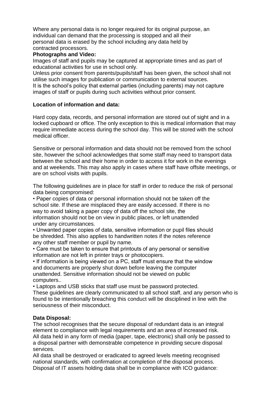Where any personal data is no longer required for its original purpose, an individual can demand that the processing is stopped and all their personal data is erased by the school including any data held by contracted processors.

#### **Photographs and Video:**

Images of staff and pupils may be captured at appropriate times and as part of educational activities for use in school only.

Unless prior consent from parents/pupils/staff has been given, the school shall not utilise such images for publication or communication to external sources.

It is the school's policy that external parties (including parents) may not capture images of staff or pupils during such activities without prior consent.

#### **Location of information and data:**

Hard copy data, records, and personal information are stored out of sight and in a locked cupboard or office. The only exception to this is medical information that may require immediate access during the school day. This will be stored with the school medical officer.

Sensitive or personal information and data should not be removed from the school site, however the school acknowledges that some staff may need to transport data between the school and their home in order to access it for work in the evenings and at weekends. This may also apply in cases where staff have offsite meetings, or are on school visits with pupils.

The following guidelines are in place for staff in order to reduce the risk of personal data being compromised:

• Paper copies of data or personal information should not be taken off the school site. If these are misplaced they are easily accessed. If there is no way to avoid taking a paper copy of data off the school site, the information should not be on view in public places, or left unattended under any circumstances.

• Unwanted paper copies of data, sensitive information or pupil files should be shredded. This also applies to handwritten notes if the notes reference any other staff member or pupil by name.

• Care must be taken to ensure that printouts of any personal or sensitive information are not left in printer trays or photocopiers.

• If information is being viewed on a PC, staff must ensure that the window and documents are properly shut down before leaving the computer unattended. Sensitive information should not be viewed on public computers..

• Laptops and USB sticks that staff use must be password protected.

These guidelines are clearly communicated to all school staff, and any person who is found to be intentionally breaching this conduct will be disciplined in line with the seriousness of their misconduct.

#### **Data Disposal:**

The school recognises that the secure disposal of redundant data is an integral element to compliance with legal requirements and an area of increased risk. All data held in any form of media (paper, tape, electronic) shall only be passed to a disposal partner with demonstrable competence in providing secure disposal services.

All data shall be destroyed or eradicated to agreed levels meeting recognised national standards, with confirmation at completion of the disposal process. Disposal of IT assets holding data shall be in compliance with ICO guidance: